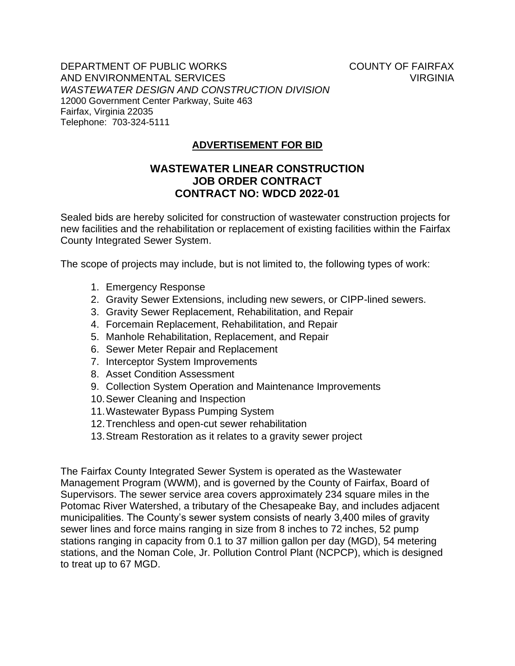Telephone: 703-324-5111 DEPARTMENT OF PUBLIC WORKS AND ENVIRONMENTAL SERVICES *WASTEWATER DESIGN AND CONSTRUCTION DIVISION*  12000 Government Center Parkway, Suite 463 Fairfax, Virginia 22035

COUNTY OF FAIRFAX VIRGINIA

## **ADVERTISEMENT FOR BID**

## **WASTEWATER LINEAR CONSTRUCTION JOB ORDER CONTRACT CONTRACT NO: WDCD 2022-01**

County Integrated Sewer System. Sealed bids are hereby solicited for construction of wastewater construction projects for new facilities and the rehabilitation or replacement of existing facilities within the Fairfax

The scope of projects may include, but is not limited to, the following types of work:

- 1. Emergency Response
- 2. Gravity Sewer Extensions, including new sewers, or CIPP-lined sewers.
- 3. Gravity Sewer Replacement, Rehabilitation, and Repair
- 4. Forcemain Replacement, Rehabilitation, and Repair
- 5. Manhole Rehabilitation, Replacement, and Repair
- 6. Sewer Meter Repair and Replacement
- 7. Interceptor System Improvements
- 8. Asset Condition Assessment
- 9. Collection System Operation and Maintenance Improvements
- 10.Sewer Cleaning and Inspection
- 11.Wastewater Bypass Pumping System
- 12.Trenchless and open-cut sewer rehabilitation
- 13.Stream Restoration as it relates to a gravity sewer project

 sewer lines and force mains ranging in size from 8 inches to 72 inches, 52 pump stations ranging in capacity from 0.1 to 37 million gallon per day (MGD), 54 metering The Fairfax County Integrated Sewer System is operated as the Wastewater Management Program (WWM), and is governed by the County of Fairfax, Board of Supervisors. The sewer service area covers approximately 234 square miles in the Potomac River Watershed, a tributary of the Chesapeake Bay, and includes adjacent municipalities. The County's sewer system consists of nearly 3,400 miles of gravity stations, and the Noman Cole, Jr. Pollution Control Plant (NCPCP), which is designed to treat up to 67 MGD.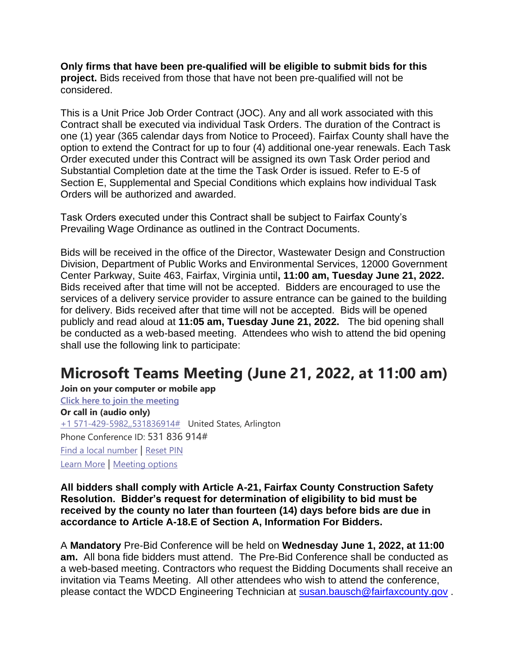**Only firms that have been pre-qualified will be eligible to submit bids for this project.** Bids received from those that have not been pre-qualified will not be considered.

 one (1) year (365 calendar days from Notice to Proceed). Fairfax County shall have the Substantial Completion date at the time the Task Order is issued. Refer to E-5 of This is a Unit Price Job Order Contract (JOC). Any and all work associated with this Contract shall be executed via individual Task Orders. The duration of the Contract is option to extend the Contract for up to four (4) additional one-year renewals. Each Task Order executed under this Contract will be assigned its own Task Order period and Section E, Supplemental and Special Conditions which explains how individual Task Orders will be authorized and awarded.

Task Orders executed under this Contract shall be subject to Fairfax County's Prevailing Wage Ordinance as outlined in the Contract Documents.

 Bids received after that time will not be accepted. Bidders are encouraged to use the services of a delivery service provider to assure entrance can be gained to the building for delivery. Bids received after that time will not be accepted. Bids will be opened publicly and read aloud at **11:05 am, Tuesday June 21, 2022.** The bid opening shall be conducted as a web-based meeting. Attendees who wish to attend the bid opening Bids will be received in the office of the Director, Wastewater Design and Construction Division, Department of Public Works and Environmental Services, 12000 Government Center Parkway, Suite 463, Fairfax, Virginia until**, 11:00 am, Tuesday June 21, 2022.**  shall use the following link to participate:

## **Microsoft Teams Meeting (June 21, 2022, at 11:00 am)**

 Phone Conference ID: 531 836 914# **Join on your computer or mobile app Click here to join the meeting Or call in (audio only)**  +1 571-429-5982,,531836914# United States, Arlington Find a local number | Reset PIN Learn More | Meeting options

**All bidders shall comply with Article A-21, Fairfax County Construction Safety Resolution. Bidder's request for determination of eligibility to bid must be received by the county no later than fourteen (14) days before bids are due in accordance to Article A-18.E of Section A, Information For Bidders.** 

 A **Mandatory** Pre-Bid Conference will be held on **Wednesday June 1, 2022, at 11:00 am.** All bona fide bidders must attend. The Pre-Bid Conference shall be conducted as a web-based meeting. Contractors who request the Bidding Documents shall receive an invitation via Teams Meeting. All other attendees who wish to attend the conference, please contact the WDCD Engineering Technician at [susan.bausch@fairfaxcounty.gov](mailto:susan.bausch@fairfaxcounty.gov) .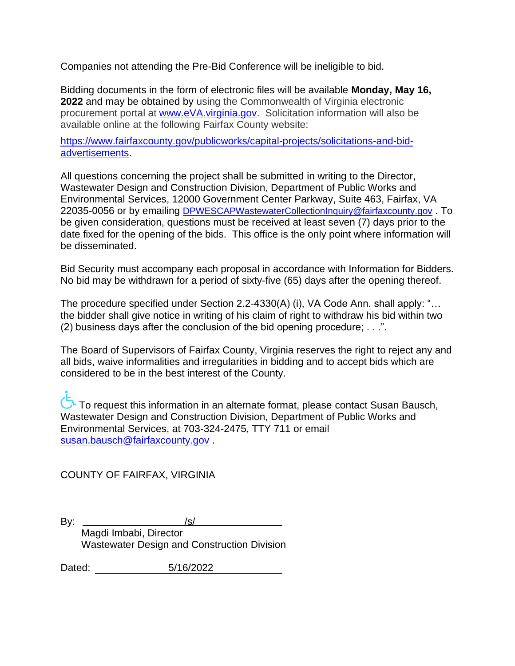Companies not attending the Pre-Bid Conference will be ineligible to bid.

 **2022** and may be obtained by using the Commonwealth of Virginia electronic procurement portal at **www.eVA.virginia.gov.** Solicitation information will also be Bidding documents in the form of electronic files will be available **Monday, May 16,**  available online at the following Fairfax County website:

[https://www.fairfaxcounty.gov/publicworks/capital-projects/solicitations-and-bid](https://www.fairfaxcounty.gov/publicworks/capital-projects/solicitations-and-bid-advertisements)[advertisements.](https://www.fairfaxcounty.gov/publicworks/capital-projects/solicitations-and-bid-advertisements)

 Wastewater Design and Construction Division, Department of Public Works and All questions concerning the project shall be submitted in writing to the Director, Environmental Services, 12000 Government Center Parkway, Suite 463, Fairfax, VA 22035-0056 or by emailing [DPWESCAPWastewaterCollectionInquiry@fairfaxcounty.gov](mailto:DPWESCAPWastewaterCollectionInquiry@fairfaxcounty.gov) . To be given consideration, questions must be received at least seven (7) days prior to the date fixed for the opening of the bids. This office is the only point where information will be disseminated.

Bid Security must accompany each proposal in accordance with Information for Bidders. No bid may be withdrawn for a period of sixty-five (65) days after the opening thereof.

The procedure specified under Section 2.2-4330(A) (i), VA Code Ann. shall apply: "… the bidder shall give notice in writing of his claim of right to withdraw his bid within two (2) business days after the conclusion of the bid opening procedure; . . .".

 all bids, waive informalities and irregularities in bidding and to accept bids which are The Board of Supervisors of Fairfax County, Virginia reserves the right to reject any and considered to be in the best interest of the County.

To request this information in an alternate format, please contact Susan Bausch, Wastewater Design and Construction Division, Department of Public Works and Environmental Services, at 703-324-2475, TTY 711 or email [susan.bausch@fairfaxcounty.gov](mailto:susan.bausch@fairfaxcounty.gov) .

COUNTY OF FAIRFAX, VIRGINIA

 $Bv:$  $\sqrt{s}$ /s/

Magdi Imbabi, Director Wastewater Design and Construction Division

Dated: 5/16/2022